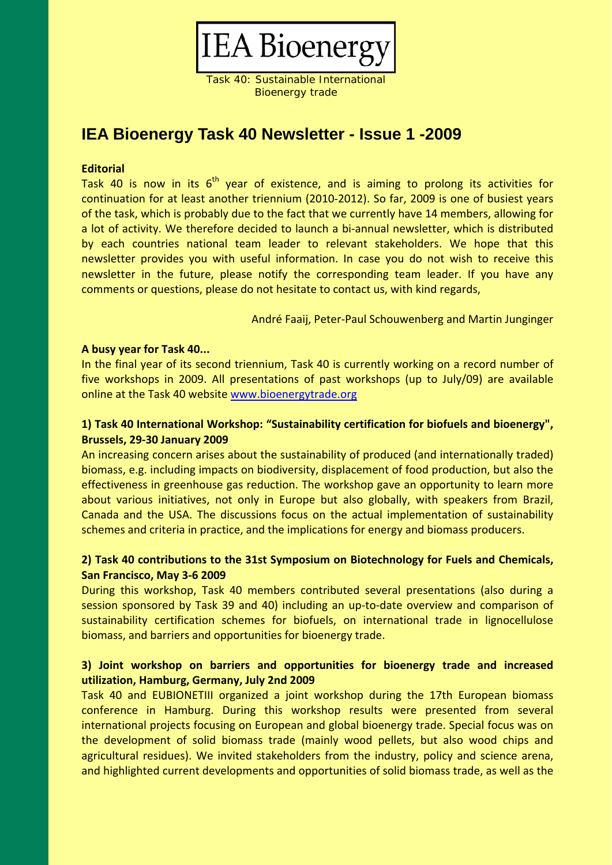

Task 40: Sustainable International Bioenergy trade

## **IEA Bioenergy Task 40 Newsletter - Issue 1 -2009**

#### **Editorial**

Task 40 is now in its  $6<sup>th</sup>$  year of existence, and is aiming to prolong its activities for continuation for at least another triennium (2010‐2012). So far, 2009 is one of busiest years of the task, which is probably due to the fact that we currently have 14 members, allowing for a lot of activity. We therefore decided to launch a bi‐annual newsletter, which is distributed by each countries national team leader to relevant stakeholders. We hope that this newsletter provides you with useful information. In case you do not wish to receive this newsletter in the future, please notify the corresponding team leader. If you have any comments or questions, please do not hesitate to contact us, with kind regards,

André Faaij, Peter‐Paul Schouwenberg and Martin Junginger

#### **A busy year for Task 40...**

In the final year of its second triennium, Task 40 is currently working on a record number of five workshops in 2009. All presentations of past workshops (up to July/09) are available online at the Task 40 website www.bioenergytrade.org

### **1) Task 40 International Workshop: "Sustainability certification for biofuels and bioenergy", Brussels, 29‐30 January 2009**

An increasing concern arises about the sustainability of produced (and internationally traded) biomass, e.g. including impacts on biodiversity, displacement of food production, but also the effectiveness in greenhouse gas reduction. The workshop gave an opportunity to learn more about various initiatives, not only in Europe but also globally, with speakers from Brazil, Canada and the USA. The discussions focus on the actual implementation of sustainability schemes and criteria in practice, and the implications for energy and biomass producers.

### **2) Task 40 contributions to the 31st Symposium on Biotechnology for Fuels and Chemicals, San Francisco, May 3‐6 2009**

During this workshop, Task 40 members contributed several presentations (also during a session sponsored by Task 39 and 40) including an up-to-date overview and comparison of sustainability certification schemes for biofuels, on international trade in lignocellulose biomass, and barriers and opportunities for bioenergy trade.

### **3) Joint workshop on barriers and opportunities for bioenergy trade and increased utilization, Hamburg, Germany, July 2nd 2009**

Task 40 and EUBIONETIII organized a joint workshop during the 17th European biomass conference in Hamburg. During this workshop results were presented from several international projects focusing on European and global bioenergy trade. Special focus was on the development of solid biomass trade (mainly wood pellets, but also wood chips and agricultural residues). We invited stakeholders from the industry, policy and science arena, and highlighted current developments and opportunities of solid biomass trade, as well as the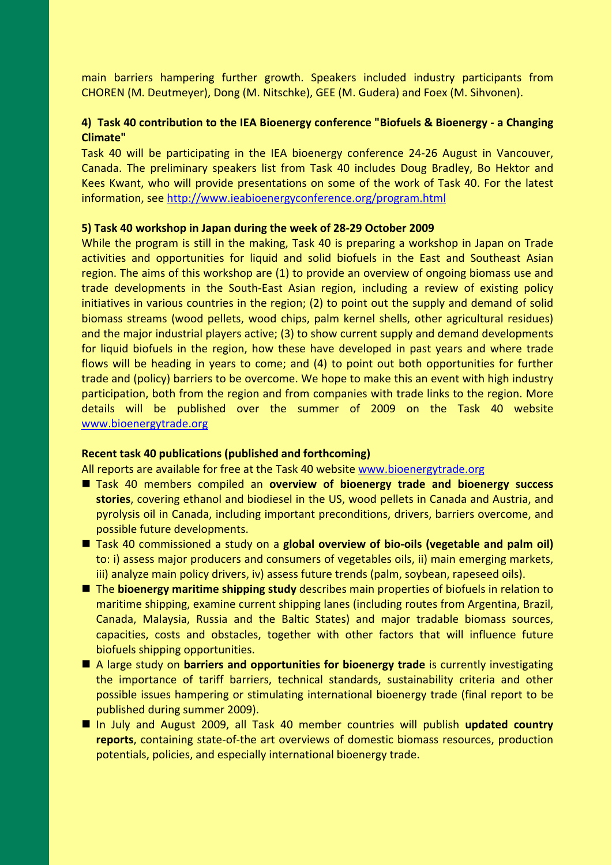main barriers hampering further growth. Speakers included industry participants from CHOREN (M. Deutmeyer), Dong (M. Nitschke), GEE (M. Gudera) and Foex (M. Sihvonen).

#### **4) Task 40 contribution to the IEA Bioenergy conference "Biofuels & Bioenergy ‐ a Changing Climate"**

Task 40 will be participating in the IEA bioenergy conference 24‐26 August in Vancouver, Canada. The preliminary speakers list from Task 40 includes Doug Bradley, Bo Hektor and Kees Kwant, who will provide presentations on some of the work of Task 40. For the latest information, see http://www.ieabioenergyconference.org/program.html

#### **5) Task 40 workshop in Japan during the week of 28‐29 October 2009**

While the program is still in the making, Task 40 is preparing a workshop in Japan on Trade activities and opportunities for liquid and solid biofuels in the East and Southeast Asian region. The aims of this workshop are (1) to provide an overview of ongoing biomass use and trade developments in the South‐East Asian region, including a review of existing policy initiatives in various countries in the region; (2) to point out the supply and demand of solid biomass streams (wood pellets, wood chips, palm kernel shells, other agricultural residues) and the major industrial players active; (3) to show current supply and demand developments for liquid biofuels in the region, how these have developed in past years and where trade flows will be heading in years to come; and (4) to point out both opportunities for further trade and (policy) barriers to be overcome. We hope to make this an event with high industry participation, both from the region and from companies with trade links to the region. More details will be published over the summer of 2009 on the Task 40 website www.bioenergytrade.org

#### **Recent task 40 publications (published and forthcoming)**

All reports are available for free at the Task 40 website www.bioenergytrade.org

- Task 40 members compiled an **overview of bioenergy trade and bioenergy success stories**, covering ethanol and biodiesel in the US, wood pellets in Canada and Austria, and pyrolysis oil in Canada, including important preconditions, drivers, barriers overcome, and possible future developments.
- Task 40 commissioned a study on a **global overview of bio-oils (vegetable and palm oil)** to: i) assess major producers and consumers of vegetables oils, ii) main emerging markets, iii) analyze main policy drivers, iv) assess future trends (palm, soybean, rapeseed oils).
- The **bioenergy maritime shipping study** describes main properties of biofuels in relation to maritime shipping, examine current shipping lanes (including routes from Argentina, Brazil, Canada, Malaysia, Russia and the Baltic States) and major tradable biomass sources, capacities, costs and obstacles, together with other factors that will influence future biofuels shipping opportunities.
- A large study on **barriers and opportunities for bioenergy trade** is currently investigating the importance of tariff barriers, technical standards, sustainability criteria and other possible issues hampering or stimulating international bioenergy trade (final report to be published during summer 2009).
- In July and August 2009, all Task 40 member countries will publish **updated country reports**, containing state‐of‐the art overviews of domestic biomass resources, production potentials, policies, and especially international bioenergy trade.